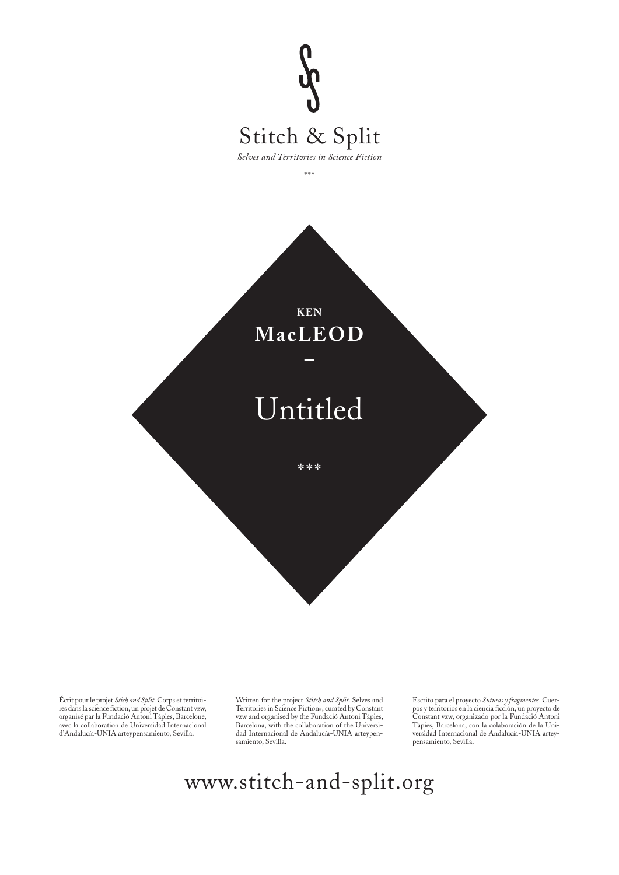

Écrit pour le projet *Stich and Split*. Corps et territoi-res dans la science fi ction, un projet de Constant vzw, organisé par la Fundació Antoni Tàpies, Barcelone, avec la collaboration de Universidad Internacional d'Andalucía-UNIA arteypensamiento, Sevilla.

Written for the project *Stitch and Split*. Selves and Territories in Science Fiction», curated by Constant vzw and organised by the Fundació Antoni Tàpies, Barcelona, with the collaboration of the Universidad Internacional de Andalucía-UNIA arteypensamiento, Sevilla.

Escrito para el proyecto *Suturas y fragmentos*. Cuer-<br>pos y territorios en la ciencia ficción, un proyecto de Constant vzw, organizado por la Fundació Antoni Tàpies, Barcelona, con la colaboración de la Universidad Internacional de Andalucía-UNIA arteypensamiento, Sevilla.

www.stitch-and-split.org